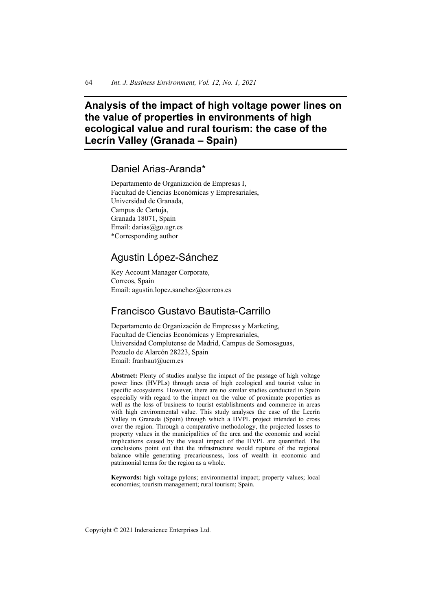# **Analysis of the impact of high voltage power lines on the value of properties in environments of high ecological value and rural tourism: the case of the Lecrín Valley (Granada – Spain)**

## Daniel Arias-Aranda\*

Departamento de Organización de Empresas I, Facultad de Ciencias Económicas y Empresariales, Universidad de Granada, Campus de Cartuja, Granada 18071, Spain Email: darias@go.ugr.es \*Corresponding author

## Agustin López-Sánchez

Key Account Manager Corporate, Correos, Spain Email: agustin.lopez.sanchez@correos.es

## Francisco Gustavo Bautista-Carrillo

Departamento de Organización de Empresas y Marketing, Facultad de Ciencias Económicas y Empresariales, Universidad Complutense de Madrid, Campus de Somosaguas, Pozuelo de Alarcón 28223, Spain Email: franbaut@ucm.es

**Abstract:** Plenty of studies analyse the impact of the passage of high voltage power lines (HVPLs) through areas of high ecological and tourist value in specific ecosystems. However, there are no similar studies conducted in Spain especially with regard to the impact on the value of proximate properties as well as the loss of business to tourist establishments and commerce in areas with high environmental value. This study analyses the case of the Lecrín Valley in Granada (Spain) through which a HVPL project intended to cross over the region. Through a comparative methodology, the projected losses to property values in the municipalities of the area and the economic and social implications caused by the visual impact of the HVPL are quantified. The conclusions point out that the infrastructure would rupture of the regional balance while generating precariousness, loss of wealth in economic and patrimonial terms for the region as a whole.

**Keywords:** high voltage pylons; environmental impact; property values; local economies; tourism management; rural tourism; Spain.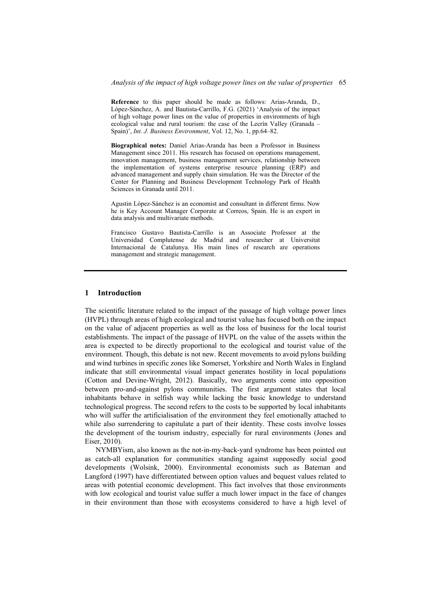**Reference** to this paper should be made as follows: Arias-Aranda, D., López-Sánchez, A. and Bautista-Carrillo, F.G. (2021) 'Analysis of the impact of high voltage power lines on the value of properties in environments of high ecological value and rural tourism: the case of the Lecrín Valley (Granada – Spain)', *Int. J. Business Environment*, Vol. 12, No. 1, pp.64–82.

**Biographical notes:** Daniel Arias-Aranda has been a Professor in Business Management since 2011. His research has focused on operations management, innovation management, business management services, relationship between the implementation of systems enterprise resource planning (ERP) and advanced management and supply chain simulation. He was the Director of the Center for Planning and Business Development Technology Park of Health Sciences in Granada until 2011.

Agustin López-Sánchez is an economist and consultant in different firms. Now he is Key Account Manager Corporate at Correos, Spain. He is an expert in data analysis and multivariate methods.

Francisco Gustavo Bautista-Carrillo is an Associate Professor at the Universidad Complutense de Madrid and researcher at Universitat Internacional de Catalunya. His main lines of research are operations management and strategic management.

## **1 Introduction**

The scientific literature related to the impact of the passage of high voltage power lines (HVPL) through areas of high ecological and tourist value has focused both on the impact on the value of adjacent properties as well as the loss of business for the local tourist establishments. The impact of the passage of HVPL on the value of the assets within the area is expected to be directly proportional to the ecological and tourist value of the environment. Though, this debate is not new. Recent movements to avoid pylons building and wind turbines in specific zones like Somerset, Yorkshire and North Wales in England indicate that still environmental visual impact generates hostility in local populations (Cotton and Devine-Wright, 2012). Basically, two arguments come into opposition between pro-and-against pylons communities. The first argument states that local inhabitants behave in selfish way while lacking the basic knowledge to understand technological progress. The second refers to the costs to be supported by local inhabitants who will suffer the artificialisation of the environment they feel emotionally attached to while also surrendering to capitulate a part of their identity. These costs involve losses the development of the tourism industry, especially for rural environments (Jones and Eiser, 2010).

NYMBYism, also known as the not-in-my-back-yard syndrome has been pointed out as catch-all explanation for communities standing against supposedly social good developments (Wolsink, 2000). Environmental economists such as Bateman and Langford (1997) have differentiated between option values and bequest values related to areas with potential economic development. This fact involves that those environments with low ecological and tourist value suffer a much lower impact in the face of changes in their environment than those with ecosystems considered to have a high level of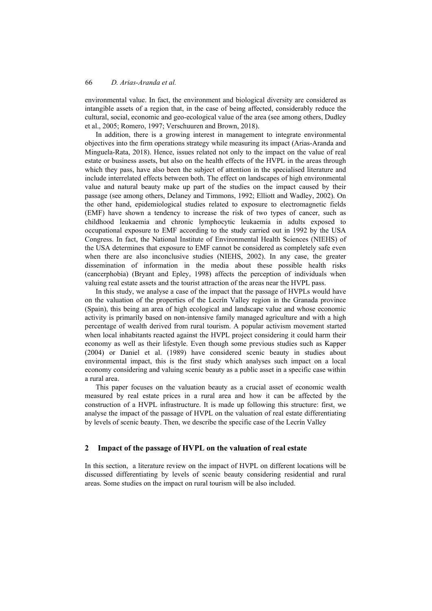environmental value. In fact, the environment and biological diversity are considered as intangible assets of a region that, in the case of being affected, considerably reduce the cultural, social, economic and geo-ecological value of the area (see among others, Dudley et al., 2005; Romero, 1997; Verschuuren and Brown, 2018).

In addition, there is a growing interest in management to integrate environmental objectives into the firm operations strategy while measuring its impact (Arias-Aranda and Minguela-Rata, 2018). Hence, issues related not only to the impact on the value of real estate or business assets, but also on the health effects of the HVPL in the areas through which they pass, have also been the subject of attention in the specialised literature and include interrelated effects between both. The effect on landscapes of high environmental value and natural beauty make up part of the studies on the impact caused by their passage (see among others, Delaney and Timmons, 1992; Elliott and Wadley, 2002). On the other hand, epidemiological studies related to exposure to electromagnetic fields (EMF) have shown a tendency to increase the risk of two types of cancer, such as childhood leukaemia and chronic lymphocytic leukaemia in adults exposed to occupational exposure to EMF according to the study carried out in 1992 by the USA Congress. In fact, the National Institute of Environmental Health Sciences (NIEHS) of the USA determines that exposure to EMF cannot be considered as completely safe even when there are also inconclusive studies (NIEHS, 2002). In any case, the greater dissemination of information in the media about these possible health risks (cancerphobia) (Bryant and Epley, 1998) affects the perception of individuals when valuing real estate assets and the tourist attraction of the areas near the HVPL pass.

In this study, we analyse a case of the impact that the passage of HVPLs would have on the valuation of the properties of the Lecrín Valley region in the Granada province (Spain), this being an area of high ecological and landscape value and whose economic activity is primarily based on non-intensive family managed agriculture and with a high percentage of wealth derived from rural tourism. A popular activism movement started when local inhabitants reacted against the HVPL project considering it could harm their economy as well as their lifestyle. Even though some previous studies such as Kapper (2004) or Daniel et al. (1989) have considered scenic beauty in studies about environmental impact, this is the first study which analyses such impact on a local economy considering and valuing scenic beauty as a public asset in a specific case within a rural area.

This paper focuses on the valuation beauty as a crucial asset of economic wealth measured by real estate prices in a rural area and how it can be affected by the construction of a HVPL infrastructure. It is made up following this structure: first, we analyse the impact of the passage of HVPL on the valuation of real estate differentiating by levels of scenic beauty. Then, we describe the specific case of the Lecrín Valley

#### **2 Impact of the passage of HVPL on the valuation of real estate**

In this section, a literature review on the impact of HVPL on different locations will be discussed differentiating by levels of scenic beauty considering residential and rural areas. Some studies on the impact on rural tourism will be also included.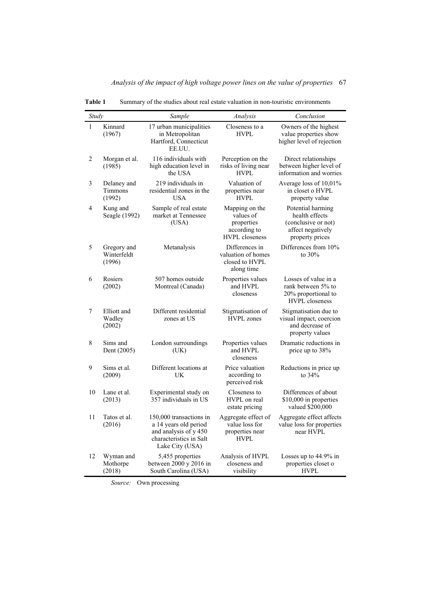| Study        |                                      | Sample                                                                                                                  | Analysis                                                                           | Conclusion                                                                                         |
|--------------|--------------------------------------|-------------------------------------------------------------------------------------------------------------------------|------------------------------------------------------------------------------------|----------------------------------------------------------------------------------------------------|
| $\mathbf{1}$ | Kinnard<br>(1967)                    | 17 urban municipalities<br>in Metropolitan<br>Hartford, Connecticut<br>EE.UU.                                           | Closeness to a<br><b>HVPL</b>                                                      | Owners of the highest<br>value properties show<br>higher level of rejection                        |
| 2            | Morgan et al.<br>(1985)              | 116 individuals with<br>high education level in<br>the USA                                                              | Perception on the<br>risks of living near<br><b>HVPL</b>                           | Direct relationships<br>between higher level of<br>information and worries                         |
| 3            | Delaney and<br>Timmons<br>(1992)     | 219 individuals in<br>residential zones in the<br><b>USA</b>                                                            | Valuation of<br>properties near<br><b>HVPL</b>                                     | Average loss of 10,01%<br>in closet o HVPL<br>property value                                       |
| 4            | Kung and<br>Seagle (1992)            | Sample of real estate<br>market at Tennessee<br>(USA)                                                                   | Mapping on the<br>values of<br>properties<br>according to<br><b>HVPL</b> closeness | Potential harming<br>health effects<br>(conclusive or not)<br>affect negatively<br>property prices |
| 5            | Gregory and<br>Winterfeldt<br>(1996) | Metanalysis                                                                                                             | Differences in<br>valuation of homes<br>closed to HVPL<br>along time               | Differences from 10%<br>to $30\%$                                                                  |
| 6            | Rosiers<br>(2002)                    | 507 homes outside<br>Montreal (Canada)                                                                                  | Properties values<br>and HVPL<br>closeness                                         | Losses of value in a<br>rank between 5% to<br>20% proportional to<br><b>HVPL</b> closeness         |
| 7            | Elliott and<br>Wadley<br>(2002)      | Different residential<br>zones at US                                                                                    | Stigmatisation of<br><b>HVPL</b> zones                                             | Stigmatisation due to<br>visual impact, coercion<br>and decrease of<br>property values             |
| 8            | Sims and<br>Dent (2005)              | London surroundings<br>(UK)                                                                                             | Properties values<br>and HVPL<br>closeness                                         | Dramatic reductions in<br>price up to 38%                                                          |
| 9            | Sims et al.<br>(2009)                | Different locations at<br>UK                                                                                            | Price valuation<br>according to<br>perceived risk                                  | Reductions in price up<br>to $34%$                                                                 |
| 10           | Lane et al.<br>(2013)                | Experimental study on<br>357 individuals in US                                                                          | Closeness to<br>HVPL on real<br>estate pricing                                     | Differences of about<br>\$10,000 in properties<br>valued \$200,000                                 |
| 11           | Tatos et al.<br>(2016)               | 150,000 transactions in<br>a 14 years old period<br>and analysis of y 450<br>characteristics in Salt<br>Lake City (USA) | Aggregate effect of<br>value loss for<br>properties near<br><b>HVPL</b>            | Aggregate effect affects<br>value loss for properties<br>near HVPL                                 |
| 12           | Wyman and<br>Mothorpe<br>(2018)      | 5,455 properties<br>between 2000 y 2016 in<br>South Carolina (USA)                                                      | Analysis of HVPL<br>closeness and<br>visibility                                    | Losses up to 44.9% in<br>properties closet o<br><b>HVPL</b>                                        |

**Table 1** Summary of the studies about real estate valuation in non-touristic environments

*Source:* Own processing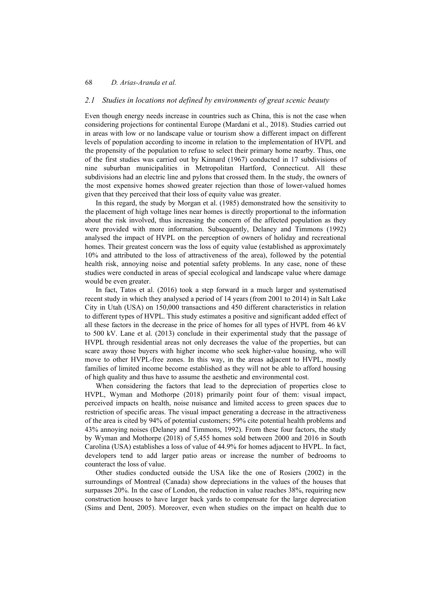#### *2.1 Studies in locations not defined by environments of great scenic beauty*

Even though energy needs increase in countries such as China, this is not the case when considering projections for continental Europe (Mardani et al., 2018). Studies carried out in areas with low or no landscape value or tourism show a different impact on different levels of population according to income in relation to the implementation of HVPL and the propensity of the population to refuse to select their primary home nearby. Thus, one of the first studies was carried out by Kinnard (1967) conducted in 17 subdivisions of nine suburban municipalities in Metropolitan Hartford, Connecticut. All these subdivisions had an electric line and pylons that crossed them. In the study, the owners of the most expensive homes showed greater rejection than those of lower-valued homes given that they perceived that their loss of equity value was greater.

In this regard, the study by Morgan et al. (1985) demonstrated how the sensitivity to the placement of high voltage lines near homes is directly proportional to the information about the risk involved, thus increasing the concern of the affected population as they were provided with more information. Subsequently, Delaney and Timmons (1992) analysed the impact of HVPL on the perception of owners of holiday and recreational homes. Their greatest concern was the loss of equity value (established as approximately 10% and attributed to the loss of attractiveness of the area), followed by the potential health risk, annoying noise and potential safety problems. In any case, none of these studies were conducted in areas of special ecological and landscape value where damage would be even greater.

In fact, Tatos et al. (2016) took a step forward in a much larger and systematised recent study in which they analysed a period of 14 years (from 2001 to 2014) in Salt Lake City in Utah (USA) on 150,000 transactions and 450 different characteristics in relation to different types of HVPL. This study estimates a positive and significant added effect of all these factors in the decrease in the price of homes for all types of HVPL from 46 kV to 500 kV. Lane et al. (2013) conclude in their experimental study that the passage of HVPL through residential areas not only decreases the value of the properties, but can scare away those buyers with higher income who seek higher-value housing, who will move to other HVPL-free zones. In this way, in the areas adjacent to HVPL, mostly families of limited income become established as they will not be able to afford housing of high quality and thus have to assume the aesthetic and environmental cost.

When considering the factors that lead to the depreciation of properties close to HVPL, Wyman and Mothorpe (2018) primarily point four of them: visual impact, perceived impacts on health, noise nuisance and limited access to green spaces due to restriction of specific areas. The visual impact generating a decrease in the attractiveness of the area is cited by 94% of potential customers; 59% cite potential health problems and 43% annoying noises (Delaney and Timmons, 1992). From these four factors, the study by Wyman and Mothorpe (2018) of 5,455 homes sold between 2000 and 2016 in South Carolina (USA) establishes a loss of value of 44.9% for homes adjacent to HVPL. In fact, developers tend to add larger patio areas or increase the number of bedrooms to counteract the loss of value.

Other studies conducted outside the USA like the one of Rosiers (2002) in the surroundings of Montreal (Canada) show depreciations in the values of the houses that surpasses 20%. In the case of London, the reduction in value reaches 38%, requiring new construction houses to have larger back yards to compensate for the large depreciation (Sims and Dent, 2005). Moreover, even when studies on the impact on health due to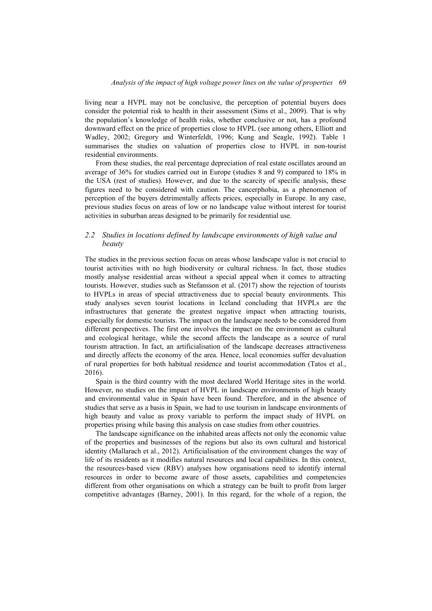living near a HVPL may not be conclusive, the perception of potential buyers does consider the potential risk to health in their assessment (Sims et al., 2009). That is why the population's knowledge of health risks, whether conclusive or not, has a profound downward effect on the price of properties close to HVPL (see among others, Elliott and Wadley, 2002; Gregory and Winterfeldt, 1996; Kung and Seagle, 1992). Table 1 summarises the studies on valuation of properties close to HVPL in non-tourist residential environments.

From these studies, the real percentage depreciation of real estate oscillates around an average of 36% for studies carried out in Europe (studies 8 and 9) compared to 18% in the USA (rest of studies). However, and due to the scarcity of specific analysis, these figures need to be considered with caution. The cancerphobia, as a phenomenon of perception of the buyers detrimentally affects prices, especially in Europe. In any case, previous studies focus on areas of low or no landscape value without interest for tourist activities in suburban areas designed to be primarily for residential use.

## *2.2 Studies in locations defined by landscape environments of high value and beauty*

The studies in the previous section focus on areas whose landscape value is not crucial to tourist activities with no high biodiversity or cultural richness. In fact, those studies mostly analyse residential areas without a special appeal when it comes to attracting tourists. However, studies such as Stefansson et al. (2017) show the rejection of tourists to HVPLs in areas of special attractiveness due to special beauty environments. This study analyses seven tourist locations in Iceland concluding that HVPLs are the infrastructures that generate the greatest negative impact when attracting tourists, especially for domestic tourists. The impact on the landscape needs to be considered from different perspectives. The first one involves the impact on the environment as cultural and ecological heritage, while the second affects the landscape as a source of rural tourism attraction. In fact, an artificialisation of the landscape decreases attractiveness and directly affects the economy of the area. Hence, local economies suffer devaluation of rural properties for both habitual residence and tourist accommodation (Tatos et al., 2016).

Spain is the third country with the most declared World Heritage sites in the world. However, no studies on the impact of HVPL in landscape environments of high beauty and environmental value in Spain have been found. Therefore, and in the absence of studies that serve as a basis in Spain, we had to use tourism in landscape environments of high beauty and value as proxy variable to perform the impact study of HVPL on properties prising while basing this analysis on case studies from other countries.

The landscape significance on the inhabited areas affects not only the economic value of the properties and businesses of the regions but also its own cultural and historical identity (Mallarach et al., 2012). Artificialisation of the environment changes the way of life of its residents as it modifies natural resources and local capabilities. In this context, the resources-based view (RBV) analyses how organisations need to identify internal resources in order to become aware of those assets, capabilities and competencies different from other organisations on which a strategy can be built to profit from larger competitive advantages (Barney, 2001). In this regard, for the whole of a region, the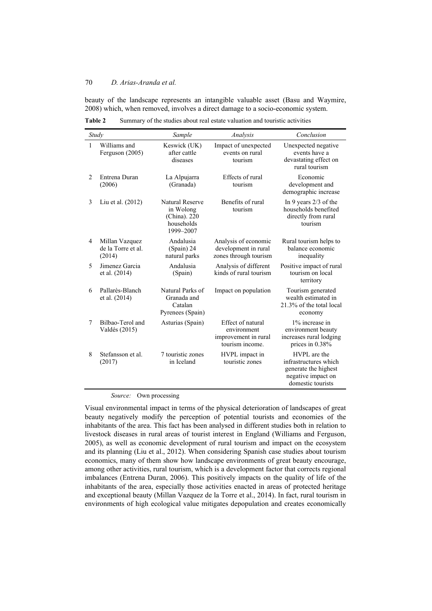beauty of the landscape represents an intangible valuable asset (Basu and Waymire, 2008) which, when removed, involves a direct damage to a socio-economic system.

|                | Study                                          | Sample                                                                         | Analysis                                                                    | Conclusion                                                                                               |
|----------------|------------------------------------------------|--------------------------------------------------------------------------------|-----------------------------------------------------------------------------|----------------------------------------------------------------------------------------------------------|
| $\mathbf{1}$   | Williams and<br>Ferguson (2005)                | Keswick (UK)<br>after cattle<br>diseases                                       | Impact of unexpected<br>events on rural<br>tourism                          | Unexpected negative<br>events have a<br>devastating effect on<br>rural tourism                           |
| $\overline{2}$ | Entrena Duran<br>(2006)                        | La Alpujarra<br>(Granada)                                                      | Effects of rural<br>tourism                                                 | Economic<br>development and<br>demographic increase                                                      |
| 3              | Liu et al. (2012)                              | <b>Natural Reserve</b><br>in Wolong<br>(China). 220<br>households<br>1999-2007 | Benefits of rural<br>tourism                                                | In 9 years $2/3$ of the<br>households benefited<br>directly from rural<br>tourism                        |
| 4              | Millan Vazquez<br>de la Torre et al.<br>(2014) | Andalusia<br>(Spain) 24<br>natural parks                                       | Analysis of economic<br>development in rural<br>zones through tourism       | Rural tourism helps to<br>balance economic<br>inequality                                                 |
| 5              | Jimenez Garcia<br>et al. (2014)                | Andalusia<br>(Spain)                                                           | Analysis of different<br>kinds of rural tourism                             | Positive impact of rural<br>tourism on local<br>territory                                                |
| 6              | Pallarès-Blanch<br>et al. (2014)               | Natural Parks of<br>Granada and<br>Catalan<br>Pyrenees (Spain)                 | Impact on population                                                        | Tourism generated<br>wealth estimated in<br>21.3% of the total local<br>economy                          |
| 7              | Bilbao-Terol and<br>Valdés (2015)              | Asturias (Spain)                                                               | Effect of natural<br>environment<br>improvement in rural<br>tourism income. | 1% increase in<br>environment beauty<br>increases rural lodging<br>prices in 0.38%                       |
| 8              | Stefansson et al.<br>(2017)                    | 7 touristic zones<br>in Iceland                                                | HVPL impact in<br>touristic zones                                           | HVPL are the<br>infrastructures which<br>generate the highest<br>negative impact on<br>domestic tourists |

**Table 2** Summary of the studies about real estate valuation and touristic activities

#### *Source:* Own processing

Visual environmental impact in terms of the physical deterioration of landscapes of great beauty negatively modify the perception of potential tourists and economies of the inhabitants of the area. This fact has been analysed in different studies both in relation to livestock diseases in rural areas of tourist interest in England (Williams and Ferguson, 2005), as well as economic development of rural tourism and impact on the ecosystem and its planning (Liu et al., 2012). When considering Spanish case studies about tourism economics, many of them show how landscape environments of great beauty encourage, among other activities, rural tourism, which is a development factor that corrects regional imbalances (Entrena Duran, 2006). This positively impacts on the quality of life of the inhabitants of the area, especially those activities enacted in areas of protected heritage and exceptional beauty (Millan Vazquez de la Torre et al., 2014). In fact, rural tourism in environments of high ecological value mitigates depopulation and creates economically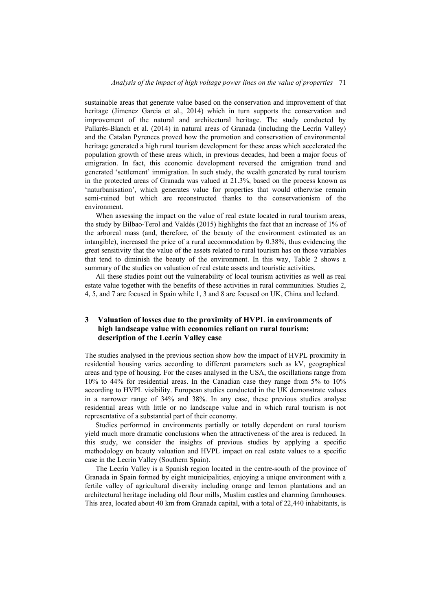sustainable areas that generate value based on the conservation and improvement of that heritage (Jimenez Garcia et al., 2014) which in turn supports the conservation and improvement of the natural and architectural heritage. The study conducted by Pallarès-Blanch et al. (2014) in natural areas of Granada (including the Lecrín Valley) and the Catalan Pyrenees proved how the promotion and conservation of environmental heritage generated a high rural tourism development for these areas which accelerated the population growth of these areas which, in previous decades, had been a major focus of emigration. In fact, this economic development reversed the emigration trend and generated 'settlement' immigration. In such study, the wealth generated by rural tourism in the protected areas of Granada was valued at 21.3%, based on the process known as 'naturbanisation', which generates value for properties that would otherwise remain semi-ruined but which are reconstructed thanks to the conservationism of the environment.

When assessing the impact on the value of real estate located in rural tourism areas, the study by Bilbao-Terol and Valdés (2015) highlights the fact that an increase of 1% of the arboreal mass (and, therefore, of the beauty of the environment estimated as an intangible), increased the price of a rural accommodation by 0.38%, thus evidencing the great sensitivity that the value of the assets related to rural tourism has on those variables that tend to diminish the beauty of the environment. In this way, Table 2 shows a summary of the studies on valuation of real estate assets and touristic activities.

All these studies point out the vulnerability of local tourism activities as well as real estate value together with the benefits of these activities in rural communities. Studies 2, 4, 5, and 7 are focused in Spain while 1, 3 and 8 are focused on UK, China and Iceland.

### **3 Valuation of losses due to the proximity of HVPL in environments of high landscape value with economies reliant on rural tourism: description of the Lecrín Valley case**

The studies analysed in the previous section show how the impact of HVPL proximity in residential housing varies according to different parameters such as kV, geographical areas and type of housing. For the cases analysed in the USA, the oscillations range from 10% to 44% for residential areas. In the Canadian case they range from 5% to 10% according to HVPL visibility. European studies conducted in the UK demonstrate values in a narrower range of 34% and 38%. In any case, these previous studies analyse residential areas with little or no landscape value and in which rural tourism is not representative of a substantial part of their economy.

Studies performed in environments partially or totally dependent on rural tourism yield much more dramatic conclusions when the attractiveness of the area is reduced. In this study, we consider the insights of previous studies by applying a specific methodology on beauty valuation and HVPL impact on real estate values to a specific case in the Lecrín Valley (Southern Spain).

The Lecrín Valley is a Spanish region located in the centre-south of the province of Granada in Spain formed by eight municipalities, enjoying a unique environment with a fertile valley of agricultural diversity including orange and lemon plantations and an architectural heritage including old flour mills, Muslim castles and charming farmhouses. This area, located about 40 km from Granada capital, with a total of 22,440 inhabitants, is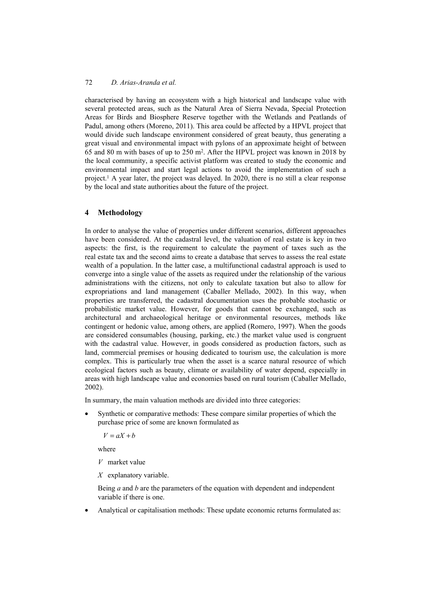characterised by having an ecosystem with a high historical and landscape value with several protected areas, such as the Natural Area of Sierra Nevada, Special Protection Areas for Birds and Biosphere Reserve together with the Wetlands and Peatlands of Padul, among others (Moreno, 2011). This area could be affected by a HPVL project that would divide such landscape environment considered of great beauty, thus generating a great visual and environmental impact with pylons of an approximate height of between 65 and 80 m with bases of up to 250 m2. After the HPVL project was known in 2018 by the local community, a specific activist platform was created to study the economic and environmental impact and start legal actions to avoid the implementation of such a project.1 A year later, the project was delayed. In 2020, there is no still a clear response by the local and state authorities about the future of the project.

## **4 Methodology**

In order to analyse the value of properties under different scenarios, different approaches have been considered. At the cadastral level, the valuation of real estate is key in two aspects: the first, is the requirement to calculate the payment of taxes such as the real estate tax and the second aims to create a database that serves to assess the real estate wealth of a population. In the latter case, a multifunctional cadastral approach is used to converge into a single value of the assets as required under the relationship of the various administrations with the citizens, not only to calculate taxation but also to allow for expropriations and land management (Caballer Mellado, 2002). In this way, when properties are transferred, the cadastral documentation uses the probable stochastic or probabilistic market value. However, for goods that cannot be exchanged, such as architectural and archaeological heritage or environmental resources, methods like contingent or hedonic value, among others, are applied (Romero, 1997). When the goods are considered consumables (housing, parking, etc.) the market value used is congruent with the cadastral value. However, in goods considered as production factors, such as land, commercial premises or housing dedicated to tourism use, the calculation is more complex. This is particularly true when the asset is a scarce natural resource of which ecological factors such as beauty, climate or availability of water depend, especially in areas with high landscape value and economies based on rural tourism (Caballer Mellado, 2002).

In summary, the main valuation methods are divided into three categories:

• Synthetic or comparative methods: These compare similar properties of which the purchase price of some are known formulated as

 $V = aX + b$ 

where

*V* market value

*X* explanatory variable.

Being *a* and *b* are the parameters of the equation with dependent and independent variable if there is one.

• Analytical or capitalisation methods: These update economic returns formulated as: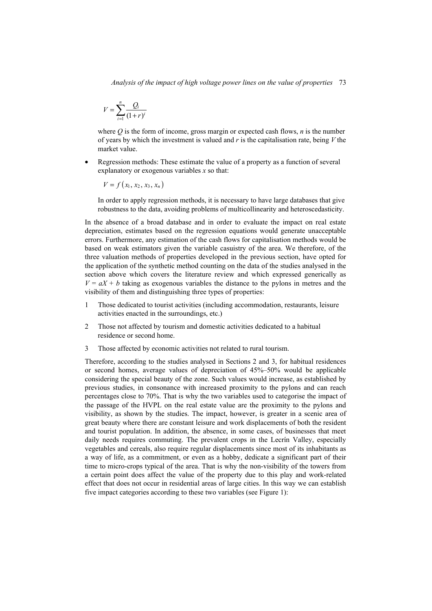$$
V = \sum_{i=1}^{n} \frac{Q_i}{(1+r)^i}
$$

where *Q* is the form of income, gross margin or expected cash flows, *n* is the number of years by which the investment is valued and *r* is the capitalisation rate, being *V* the market value.

Regression methods: These estimate the value of a property as a function of several explanatory or exogenous variables *x* so that:

 $V = f(x_1, x_2, x_3, x_n)$ 

In order to apply regression methods, it is necessary to have large databases that give robustness to the data, avoiding problems of multicollinearity and heteroscedasticity.

In the absence of a broad database and in order to evaluate the impact on real estate depreciation, estimates based on the regression equations would generate unacceptable errors. Furthermore, any estimation of the cash flows for capitalisation methods would be based on weak estimators given the variable casuistry of the area. We therefore, of the three valuation methods of properties developed in the previous section, have opted for the application of the synthetic method counting on the data of the studies analysed in the section above which covers the literature review and which expressed generically as  $V = aX + b$  taking as exogenous variables the distance to the pylons in metres and the visibility of them and distinguishing three types of properties:

- 1 Those dedicated to tourist activities (including accommodation, restaurants, leisure activities enacted in the surroundings, etc.)
- 2 Those not affected by tourism and domestic activities dedicated to a habitual residence or second home.
- 3 Those affected by economic activities not related to rural tourism.

Therefore, according to the studies analysed in Sections 2 and 3, for habitual residences or second homes, average values of depreciation of 45%–50% would be applicable considering the special beauty of the zone. Such values would increase, as established by previous studies, in consonance with increased proximity to the pylons and can reach percentages close to 70%. That is why the two variables used to categorise the impact of the passage of the HVPL on the real estate value are the proximity to the pylons and visibility, as shown by the studies. The impact, however, is greater in a scenic area of great beauty where there are constant leisure and work displacements of both the resident and tourist population. In addition, the absence, in some cases, of businesses that meet daily needs requires commuting. The prevalent crops in the Lecrín Valley, especially vegetables and cereals, also require regular displacements since most of its inhabitants as a way of life, as a commitment, or even as a hobby, dedicate a significant part of their time to micro-crops typical of the area. That is why the non-visibility of the towers from a certain point does affect the value of the property due to this play and work-related effect that does not occur in residential areas of large cities. In this way we can establish five impact categories according to these two variables (see Figure 1):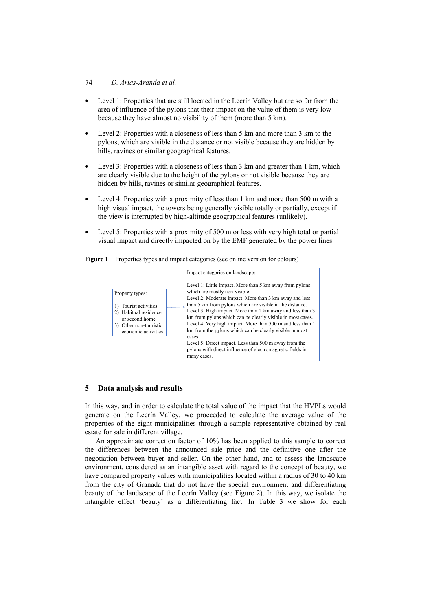### 74 *D. Arias-Aranda et al.*

- Level 1: Properties that are still located in the Lecrín Valley but are so far from the area of influence of the pylons that their impact on the value of them is very low because they have almost no visibility of them (more than 5 km).
- Level 2: Properties with a closeness of less than 5 km and more than 3 km to the pylons, which are visible in the distance or not visible because they are hidden by hills, ravines or similar geographical features.
- Level 3: Properties with a closeness of less than 3 km and greater than 1 km, which are clearly visible due to the height of the pylons or not visible because they are hidden by hills, ravines or similar geographical features.
- Level 4: Properties with a proximity of less than 1 km and more than 500 m with a high visual impact, the towers being generally visible totally or partially, except if the view is interrupted by high-altitude geographical features (unlikely).
- Level 5: Properties with a proximity of 500 m or less with very high total or partial visual impact and directly impacted on by the EMF generated by the power lines.

Figure 1 Properties types and impact categories (see online version for colours)



## **5 Data analysis and results**

In this way, and in order to calculate the total value of the impact that the HVPLs would generate on the Lecrín Valley, we proceeded to calculate the average value of the properties of the eight municipalities through a sample representative obtained by real estate for sale in different village.

An approximate correction factor of 10% has been applied to this sample to correct the differences between the announced sale price and the definitive one after the negotiation between buyer and seller. On the other hand, and to assess the landscape environment, considered as an intangible asset with regard to the concept of beauty, we have compared property values with municipalities located within a radius of 30 to 40 km from the city of Granada that do not have the special environment and differentiating beauty of the landscape of the Lecrín Valley (see Figure 2). In this way, we isolate the intangible effect 'beauty' as a differentiating fact. In Table 3 we show for each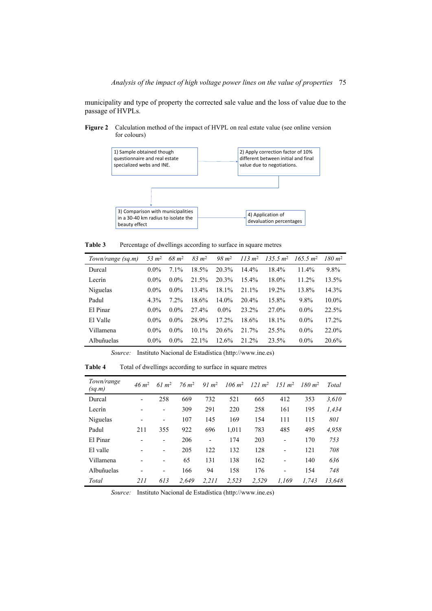municipality and type of property the corrected sale value and the loss of value due to the passage of HVPLs.

**Figure 2** Calculation method of the impact of HVPL on real estate value (see online version for colours)



Table 3 Percentage of dwellings according to surface in square metres

| Town/range (sq.m) | 53 $m2$ | $68 \; m^2$ | $83 \; m^2$ | $98 \; m^2$ |          | $113 \text{ m}^2$ $135.5 \text{ m}^2$ | 165.5 m <sup>2</sup> | $180 \; m^2$ |
|-------------------|---------|-------------|-------------|-------------|----------|---------------------------------------|----------------------|--------------|
| Durcal            | $0.0\%$ | $7.1\%$     | 18.5%       | 20.3%       | $14.4\%$ | 18.4%                                 | 11.4%                | 9.8%         |
| Lecrín            | $0.0\%$ | $0.0\%$     | 21.5%       | 20.3%       | $15.4\%$ | 18.0%                                 | $11.2\%$             | 13.5%        |
| Niguelas          | $0.0\%$ | $0.0\%$     | $13.4\%$    | 18.1%       | 21.1%    | 19.2%                                 | 13.8%                | 14.3%        |
| Padul             | $4.3\%$ | $7.2\%$     | 18.6%       | $14.0\%$    | $20.4\%$ | 15.8%                                 | 9.8%                 | $10.0\%$     |
| El Pinar          | $0.0\%$ | $0.0\%$     | 27.4%       | $0.0\%$     | 23.2%    | 27.0%                                 | $0.0\%$              | 22.5%        |
| El Valle          | $0.0\%$ | $0.0\%$     | 28.9%       | $17.2\%$    | 18.6%    | 18.1%                                 | $0.0\%$              | 17.2%        |
| Villamena         | $0.0\%$ | $0.0\%$     | $10.1\%$    | 20.6%       | 21.7%    | 25.5%                                 | $0.0\%$              | 22.0%        |
| Albuñuelas        | $0.0\%$ | $0.0\%$     | 22.1%       | 12.6%       | 21.2%    | 23.5%                                 | $0.0\%$              | 20.6%        |

*Source:* Instituto Nacional de Estadística (http://www.ine.es)

| Town/range<br>(sq.m) | $46 \; m^2$              | 61 m <sup>2</sup>        | $76 \; m^2$ | 91 m <sup>2</sup>            | $106 \; \rm m^2$ | 121 m <sup>2</sup> | $151 \; m^2$                 | $180 \; m^2$ | Total  |
|----------------------|--------------------------|--------------------------|-------------|------------------------------|------------------|--------------------|------------------------------|--------------|--------|
| Durcal               | $\overline{\phantom{a}}$ | 258                      | 669         | 732                          | 521              | 665                | 412                          | 353          | 3.610  |
| Lecrín               |                          | $\overline{\phantom{a}}$ | 309         | 291                          | 220              | 258                | 161                          | 195          | 1.434  |
| Niguelas             | $\overline{\phantom{0}}$ | $\overline{\phantom{a}}$ | 107         | 145                          | 169              | 154                | 111                          | 115          | 801    |
| Padul                | 211                      | 355                      | 922         | 696                          | 1.011            | 783                | 485                          | 495          | 4.958  |
| El Pinar             |                          | -                        | 206         | $\qquad \qquad \blacksquare$ | 174              | 203                | $\overline{\phantom{0}}$     | 170          | 753    |
| El valle             |                          | -                        | 205         | 122                          | 132              | 128                | $\qquad \qquad \blacksquare$ | 121          | 708    |
| Villamena            |                          | -                        | 65          | 131                          | 138              | 162                | $\overline{\phantom{0}}$     | 140          | 636    |
| Albuñuelas           | $\overline{\phantom{0}}$ | -                        | 166         | 94                           | 158              | 176                | $\overline{\phantom{0}}$     | 154          | 748    |
| Total                | 211                      | 613                      | 2.649       | 2.211                        | 2.523            | 2.529              | 1.169                        | 1.743        | 13.648 |

**Table 4** Total of dwellings according to surface in square metres

*Source:* Instituto Nacional de Estadística (http://www.ine.es)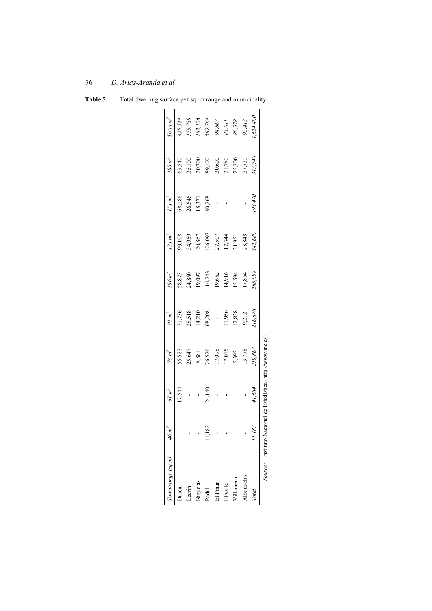|                                                             |                                                          |                  |                            |                    |                   |                           |                   | Source: Instituto Nacional de Estadística (http://www.ine.es) |                      |
|-------------------------------------------------------------|----------------------------------------------------------|------------------|----------------------------|--------------------|-------------------|---------------------------|-------------------|---------------------------------------------------------------|----------------------|
| ,624,400                                                    | 513,740                                                  | 193,470          | 342,680                    | 285,099            | 16,678            | 219,867                   | 41,684            | 83                                                            | Total                |
|                                                             |                                                          |                  |                            | 17,854             | 12,838<br>9,212   | 5,395<br>13,778           |                   |                                                               | <b>Abuñuelas</b>     |
|                                                             |                                                          |                  | 21,951<br>23,848           | 15,594             |                   |                           |                   |                                                               | 'illamena            |
|                                                             |                                                          |                  | 17,344                     | 14,916             | 11,956            | 17,015                    |                   |                                                               | El valle             |
| 175,730<br>102,126<br>569,764<br>94,867<br>80,978<br>80,978 | 35,100<br>20,700<br>89,100<br>30,600<br>21,720<br>25,200 |                  | 27,507                     | 19,662             |                   |                           |                   |                                                               | El Pinar             |
|                                                             |                                                          | 80,268           | 106,097                    | 14,243             | 68,208            | 8,881<br>76,526<br>17,098 | 24,140            | 83                                                            | Padul                |
|                                                             |                                                          |                  |                            |                    | 14,210            |                           |                   |                                                               | Niguelas             |
|                                                             |                                                          | 26,646<br>18,371 | 90,108<br>34,959<br>20,867 | 24,860<br>19,097   | 71,736<br>28,518  | 25,647                    |                   |                                                               | <b><i>_ecrin</i></b> |
| 425,514                                                     | 63,540                                                   | 68,186           |                            | 58,873             |                   | 55,527                    | 17,544            |                                                               | Jurcal               |
| Total $m^2$                                                 | 180 m <sup>2</sup>                                       | $151 \ m^2$      | 121 m <sup>2</sup>         | 106 m <sup>2</sup> | 91 m <sup>2</sup> | 76 m <sup>2</sup>         | 61 m <sup>2</sup> | 46 m <sup>2</sup>                                             | own/range (sq.m)     |

| ֖֖֧֧֧֧֧֧֧֧֧֧֧֚֚֚֚֚֚֚֚֚֚֚֚֚֚֚֚֚֚֚֚֡֝֓֝֓֝֬֝֟֓֝֬֝֬֝֬֝֬֝֬֝֬<br>֧֧֧֧֧֪֪֖֧֧֧֧֧֧֚֚֚֚֚֚֚֩֩֩֩֩֝֩֩<br>י<br>י |  |
|----------------------------------------------------------------------------------------------------|--|
|                                                                                                    |  |
| ı                                                                                                  |  |
| l                                                                                                  |  |
| ļ                                                                                                  |  |
| .<br>.<br>.<br>.<br>ı                                                                              |  |
| ۱                                                                                                  |  |
|                                                                                                    |  |

**Table 5** Total dwelling surface per sq. m range and municipality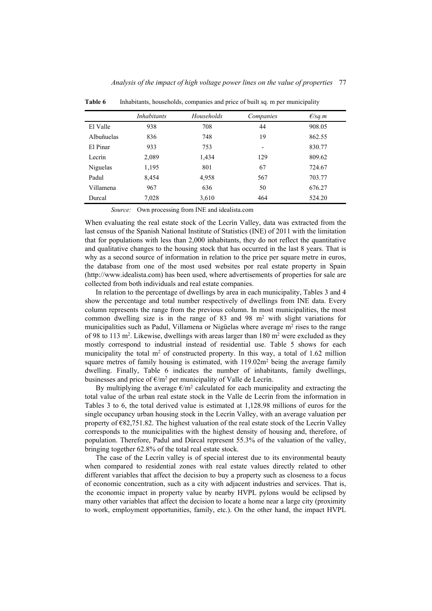|            | <i>Inhabitants</i> | Households | Companies                | E/sq.m |
|------------|--------------------|------------|--------------------------|--------|
| El Valle   | 938                | 708        | 44                       | 908.05 |
| Albuñuelas | 836                | 748        | 19                       | 862.55 |
| El Pinar   | 933                | 753        | $\overline{\phantom{0}}$ | 830.77 |
| Lecrín     | 2,089              | 1,434      | 129                      | 809.62 |
| Niguelas   | 1,195              | 801        | 67                       | 724.67 |
| Padul      | 8,454              | 4,958      | 567                      | 703.77 |
| Villamena  | 967                | 636        | 50                       | 676.27 |
| Durcal     | 7,028              | 3,610      | 464                      | 524.20 |

**Table 6** Inhabitants, households, companies and price of built sq. m per municipality

*Source:* Own processing from INE and idealista.com

When evaluating the real estate stock of the Lecrín Valley, data was extracted from the last census of the Spanish National Institute of Statistics (INE) of 2011 with the limitation that for populations with less than 2,000 inhabitants, they do not reflect the quantitative and qualitative changes to the housing stock that has occurred in the last 8 years. That is why as a second source of information in relation to the price per square metre in euros, the database from one of the most used websites por real estate property in Spain (http://www.idealista.com) has been used, where advertisements of properties for sale are collected from both individuals and real estate companies.

In relation to the percentage of dwellings by area in each municipality, Tables 3 and 4 show the percentage and total number respectively of dwellings from INE data. Every column represents the range from the previous column. In most municipalities, the most common dwelling size is in the range of 83 and 98  $m<sup>2</sup>$  with slight variations for municipalities such as Padul, Villamena or Nigüelas where average  $m<sup>2</sup>$  rises to the range of 98 to 113 m<sup>2</sup>. Likewise, dwellings with areas larger than 180 m<sup>2</sup> were excluded as they mostly correspond to industrial instead of residential use. Table 5 shows for each municipality the total  $m<sup>2</sup>$  of constructed property. In this way, a total of 1.62 million square metres of family housing is estimated, with  $119.02m<sup>2</sup>$  being the average family dwelling. Finally, Table 6 indicates the number of inhabitants, family dwellings, businesses and price of  $\epsilon/m^2$  per municipality of Valle de Lecrín.

By multiplying the average  $\epsilon/m^2$  calculated for each municipality and extracting the total value of the urban real estate stock in the Valle de Lecrín from the information in Tables 3 to 6, the total derived value is estimated at 1,128.98 millions of euros for the single occupancy urban housing stock in the Lecrín Valley, with an average valuation per property of  $E82,751.82$ . The highest valuation of the real estate stock of the Lecrín Valley corresponds to the municipalities with the highest density of housing and, therefore, of population. Therefore, Padul and Dúrcal represent 55.3% of the valuation of the valley, bringing together 62.8% of the total real estate stock.

The case of the Lecrín valley is of special interest due to its environmental beauty when compared to residential zones with real estate values directly related to other different variables that affect the decision to buy a property such as closeness to a focus of economic concentration, such as a city with adjacent industries and services. That is, the economic impact in property value by nearby HVPL pylons would be eclipsed by many other variables that affect the decision to locate a home near a large city (proximity to work, employment opportunities, family, etc.). On the other hand, the impact HVPL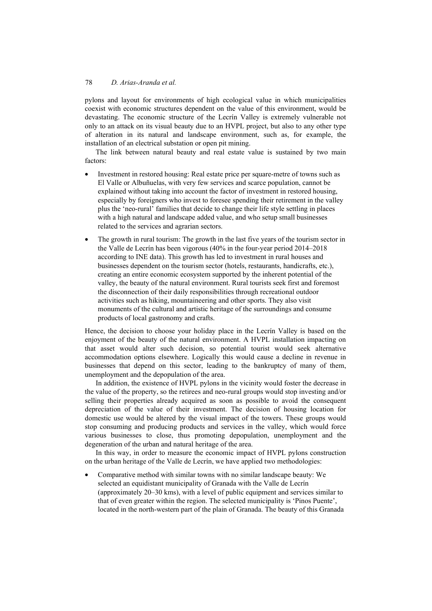pylons and layout for environments of high ecological value in which municipalities coexist with economic structures dependent on the value of this environment, would be devastating. The economic structure of the Lecrín Valley is extremely vulnerable not only to an attack on its visual beauty due to an HVPL project, but also to any other type of alteration in its natural and landscape environment, such as, for example, the installation of an electrical substation or open pit mining.

The link between natural beauty and real estate value is sustained by two main factors:

- Investment in restored housing: Real estate price per square-metre of towns such as El Valle or Albuñuelas, with very few services and scarce population, cannot be explained without taking into account the factor of investment in restored housing, especially by foreigners who invest to foresee spending their retirement in the valley plus the 'neo-rural' families that decide to change their life style settling in places with a high natural and landscape added value, and who setup small businesses related to the services and agrarian sectors.
- The growth in rural tourism: The growth in the last five years of the tourism sector in the Valle de Lecrín has been vigorous (40% in the four-year period 2014–2018 according to INE data). This growth has led to investment in rural houses and businesses dependent on the tourism sector (hotels, restaurants, handicrafts, etc.), creating an entire economic ecosystem supported by the inherent potential of the valley, the beauty of the natural environment. Rural tourists seek first and foremost the disconnection of their daily responsibilities through recreational outdoor activities such as hiking, mountaineering and other sports. They also visit monuments of the cultural and artistic heritage of the surroundings and consume products of local gastronomy and crafts.

Hence, the decision to choose your holiday place in the Lecrín Valley is based on the enjoyment of the beauty of the natural environment. A HVPL installation impacting on that asset would alter such decision, so potential tourist would seek alternative accommodation options elsewhere. Logically this would cause a decline in revenue in businesses that depend on this sector, leading to the bankruptcy of many of them, unemployment and the depopulation of the area.

In addition, the existence of HVPL pylons in the vicinity would foster the decrease in the value of the property, so the retirees and neo-rural groups would stop investing and/or selling their properties already acquired as soon as possible to avoid the consequent depreciation of the value of their investment. The decision of housing location for domestic use would be altered by the visual impact of the towers. These groups would stop consuming and producing products and services in the valley, which would force various businesses to close, thus promoting depopulation, unemployment and the degeneration of the urban and natural heritage of the area.

In this way, in order to measure the economic impact of HVPL pylons construction on the urban heritage of the Valle de Lecrín, we have applied two methodologies:

• Comparative method with similar towns with no similar landscape beauty: We selected an equidistant municipality of Granada with the Valle de Lecrín (approximately 20–30 kms), with a level of public equipment and services similar to that of even greater within the region. The selected municipality is 'Pinos Puente', located in the north-western part of the plain of Granada. The beauty of this Granada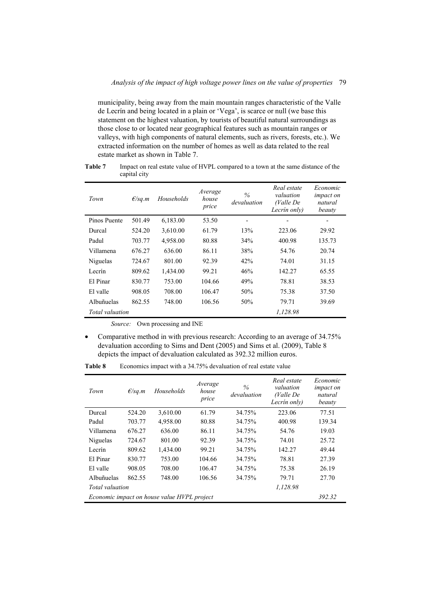municipality, being away from the main mountain ranges characteristic of the Valle de Lecrín and being located in a plain or 'Vega', is scarce or null (we base this statement on the highest valuation, by tourists of beautiful natural surroundings as those close to or located near geographical features such as mountain ranges or valleys, with high components of natural elements, such as rivers, forests, etc.). We extracted information on the number of homes as well as data related to the real estate market as shown in Table 7.

| Town                   | E/sq.m | Households | Average<br>house<br>price | $\%$<br>devaluation      | Real estate<br>valuation<br>(Valle De<br>Lecrín only) | Economic<br><i>impact on</i><br>natural<br>beauty |
|------------------------|--------|------------|---------------------------|--------------------------|-------------------------------------------------------|---------------------------------------------------|
| Pinos Puente           | 501.49 | 6,183.00   | 53.50                     | $\overline{\phantom{a}}$ |                                                       | -                                                 |
| Durcal                 | 524.20 | 3,610.00   | 61.79                     | 13%                      | 223.06                                                | 29.92                                             |
| Padul                  | 703.77 | 4,958.00   | 80.88                     | 34%                      | 400.98                                                | 135.73                                            |
| Villamena              | 676.27 | 636.00     | 86.11                     | 38%                      | 54.76                                                 | 20.74                                             |
| Niguelas               | 724.67 | 801.00     | 92.39                     | 42%                      | 74.01                                                 | 31.15                                             |
| Lecrín                 | 809.62 | 1,434.00   | 99.21                     | 46%                      | 142.27                                                | 65.55                                             |
| El Pinar               | 830.77 | 753.00     | 104.66                    | 49%                      | 78.81                                                 | 38.53                                             |
| El valle               | 908.05 | 708.00     | 106.47                    | 50%                      | 75.38                                                 | 37.50                                             |
| Albuñuelas             | 862.55 | 748.00     | 106.56                    | 50%                      | 79.71                                                 | 39.69                                             |
| <i>Total</i> valuation |        |            |                           |                          | 1.128.98                                              |                                                   |

**Table 7** Impact on real estate value of HVPL compared to a town at the same distance of the capital city

*Source:* Own processing and INE

• Comparative method in with previous research: According to an average of 34.75% devaluation according to Sims and Dent (2005) and Sims et al. (2009), Table 8 depicts the impact of devaluation calculated as 392.32 million euros.

| Town            | $E$ /sq.m | Households                                  | Average<br>house<br>price | $\%$<br>devaluation | Real estate<br>valuation<br>(Valle De<br>Lecrín only) | Economic<br><i>impact on</i><br>natural<br>beauty |
|-----------------|-----------|---------------------------------------------|---------------------------|---------------------|-------------------------------------------------------|---------------------------------------------------|
| Durcal          | 524.20    | 3,610.00                                    | 61.79                     | 34.75%              | 223.06                                                | 77.51                                             |
| Padul           | 703.77    | 4,958.00                                    | 80.88                     | 34.75%              | 400.98                                                | 139.34                                            |
| Villamena       | 676.27    | 636.00                                      | 86.11                     | 34.75%              | 54.76                                                 | 19.03                                             |
| Niguelas        | 724.67    | 801.00                                      | 92.39                     | 34.75%              | 74.01                                                 | 25.72                                             |
| Lecrín          | 809.62    | 1,434.00                                    | 99.21                     | 34.75%              | 142.27                                                | 49.44                                             |
| El Pinar        | 830.77    | 753.00                                      | 104.66                    | 34.75%              | 78.81                                                 | 27.39                                             |
| El valle        | 908.05    | 708.00                                      | 106.47                    | 34.75%              | 75.38                                                 | 26.19                                             |
| Albuñuelas      | 862.55    | 748.00                                      | 106.56                    | 34.75%              | 79.71                                                 | 27.70                                             |
| Total valuation |           |                                             |                           |                     | 1,128.98                                              |                                                   |
|                 |           | Economic impact on house value HVPL project |                           |                     |                                                       | 392.32                                            |

**Table 8** Economics impact with a 34.75% devaluation of real estate value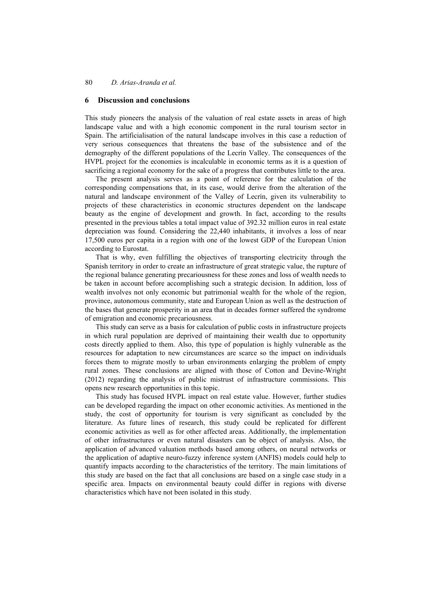#### **6 Discussion and conclusions**

This study pioneers the analysis of the valuation of real estate assets in areas of high landscape value and with a high economic component in the rural tourism sector in Spain. The artificialisation of the natural landscape involves in this case a reduction of very serious consequences that threatens the base of the subsistence and of the demography of the different populations of the Lecrín Valley. The consequences of the HVPL project for the economies is incalculable in economic terms as it is a question of sacrificing a regional economy for the sake of a progress that contributes little to the area.

The present analysis serves as a point of reference for the calculation of the corresponding compensations that, in its case, would derive from the alteration of the natural and landscape environment of the Valley of Lecrín, given its vulnerability to projects of these characteristics in economic structures dependent on the landscape beauty as the engine of development and growth. In fact, according to the results presented in the previous tables a total impact value of 392.32 million euros in real estate depreciation was found. Considering the 22,440 inhabitants, it involves a loss of near 17,500 euros per capita in a region with one of the lowest GDP of the European Union according to Eurostat.

That is why, even fulfilling the objectives of transporting electricity through the Spanish territory in order to create an infrastructure of great strategic value, the rupture of the regional balance generating precariousness for these zones and loss of wealth needs to be taken in account before accomplishing such a strategic decision. In addition, loss of wealth involves not only economic but patrimonial wealth for the whole of the region, province, autonomous community, state and European Union as well as the destruction of the bases that generate prosperity in an area that in decades former suffered the syndrome of emigration and economic precariousness.

This study can serve as a basis for calculation of public costs in infrastructure projects in which rural population are deprived of maintaining their wealth due to opportunity costs directly applied to them. Also, this type of population is highly vulnerable as the resources for adaptation to new circumstances are scarce so the impact on individuals forces them to migrate mostly to urban environments enlarging the problem of empty rural zones. These conclusions are aligned with those of Cotton and Devine-Wright (2012) regarding the analysis of public mistrust of infrastructure commissions. This opens new research opportunities in this topic.

This study has focused HVPL impact on real estate value. However, further studies can be developed regarding the impact on other economic activities. As mentioned in the study, the cost of opportunity for tourism is very significant as concluded by the literature. As future lines of research, this study could be replicated for different economic activities as well as for other affected areas. Additionally, the implementation of other infrastructures or even natural disasters can be object of analysis. Also, the application of advanced valuation methods based among others, on neural networks or the application of adaptive neuro-fuzzy inference system (ANFIS) models could help to quantify impacts according to the characteristics of the territory. The main limitations of this study are based on the fact that all conclusions are based on a single case study in a specific area. Impacts on environmental beauty could differ in regions with diverse characteristics which have not been isolated in this study.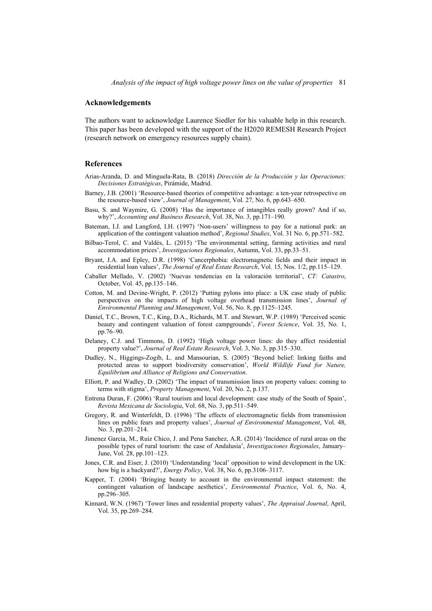### **Acknowledgements**

The authors want to acknowledge Laurence Siedler for his valuable help in this research. This paper has been developed with the support of the H2020 REMESH Research Project (research network on emergency resources supply chain).

#### **References**

- Arias-Aranda, D. and Minguela-Rata, B. (2018) *Dirección de la Producción y las Operaciones: Decisiones Estratégicas*, Pirámide, Madrid.
- Barney, J.B. (2001) 'Resource-based theories of competitive advantage: a ten-year retrospective on the resource-based view', *Journal of Management*, Vol. 27, No. 6, pp.643–650.
- Basu, S. and Waymire, G. (2008) 'Has the importance of intangibles really grown? And if so, why?', *Accounting and Business Research*, Vol. 38, No. 3, pp.171–190.
- Bateman, I.J. and Langford, I.H. (1997) 'Non-users' willingness to pay for a national park: an application of the contingent valuation method', *Regional Studies*, Vol. 31 No. 6, pp.571–582.
- Bilbao-Terol, C. and Valdés, L. (2015) 'The environmental setting, farming activities and rural accommodation prices', *Investigaciones Regionales*, Autumn, Vol. 33, pp.33–51.
- Bryant, J.A. and Epley, D.R. (1998) 'Cancerphobia: electromagnetic fields and their impact in residential loan values', *The Journal of Real Estate Research*, Vol. 15, Nos. 1/2, pp.115–129.
- Caballer Mellado, V. (2002) 'Nuevas tendencias en la valoración territorial', *CT: Catastro*, October, Vol. 45, pp.135–146.
- Cotton, M. and Devine-Wright, P. (2012) 'Putting pylons into place: a UK case study of public perspectives on the impacts of high voltage overhead transmission lines', *Journal of Environmental Planning and Management*, Vol. 56, No. 8, pp.1125–1245.
- Daniel, T.C., Brown, T.C., King, D.A., Richards, M.T. and Stewart, W.P. (1989) 'Perceived scenic beauty and contingent valuation of forest campgrounds', *Forest Science*, Vol. 35, No. 1, pp.76–90.
- Delaney, C.J. and Timmons, D. (1992) 'High voltage power lines: do they affect residential property value?', *Journal of Real Estate Research*, Vol. 3, No. 3, pp.315–330.
- Dudley, N., Higgings-Zogib, L. and Mansourian, S. (2005) 'Beyond belief: linking faiths and protected areas to support biodiversity conservation', *World Wildlife Fund for Nature, Equilibrium and Alliance of Religions and Conservation*.
- Elliott, P. and Wadley, D. (2002) 'The impact of transmission lines on property values: coming to terms with stigma', *Property Management*, Vol. 20, No. 2, p.137.
- Entrena Duran, F. (2006) 'Rural tourism and local development: case study of the South of Spain', *Revista Mexicana de Sociologia*, Vol. 68, No. 3, pp.511–549.
- Gregory, R. and Winterfeldt, D. (1996) 'The effects of electromagnetic fields from transmission lines on public fears and property values', *Journal of Environmental Management*, Vol. 48, No. 3, pp.201–214.
- Jimenez Garcia, M., Ruiz Chico, J. and Pena Sanchez, A.R. (2014) 'Incidence of rural areas on the possible types of rural tourism: the case of Andalusia', *Investigaciones Regionales*, January– June, Vol. 28, pp.101–123.
- Jones, C.R. and Eiser, J. (2010) 'Understanding 'local' opposition to wind development in the UK: how big is a backyard?', *Energy Policy*, Vol. 38, No. 6, pp.3106–3117.
- Kapper, T. (2004) 'Bringing beauty to account in the environmental impact statement: the contingent valuation of landscape aesthetics', *Environmental Practice*, Vol. 6, No. 4, pp.296–305.
- Kinnard, W.N. (1967) 'Tower lines and residential property values', *The Appraisal Journal*, April, Vol. 35, pp.269–284.